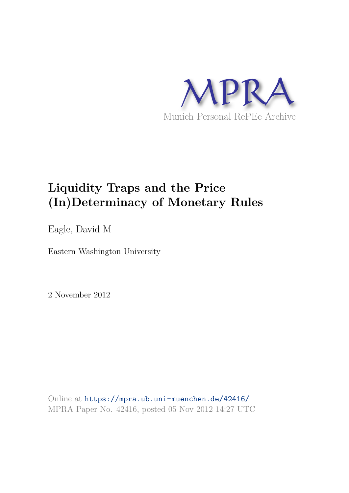

# **Liquidity Traps and the Price (In)Determinacy of Monetary Rules**

Eagle, David M

Eastern Washington University

2 November 2012

Online at https://mpra.ub.uni-muenchen.de/42416/ MPRA Paper No. 42416, posted 05 Nov 2012 14:27 UTC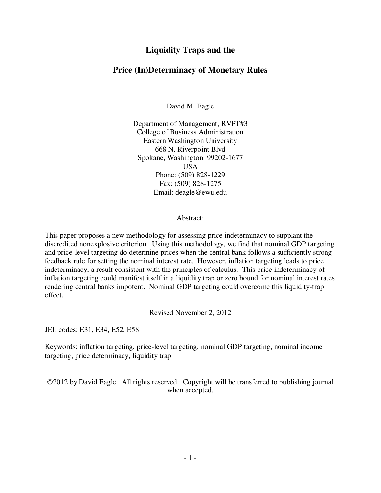## **Liquidity Traps and the**

## **Price (In)Determinacy of Monetary Rules**

David M. Eagle

Department of Management, RVPT#3 College of Business Administration Eastern Washington University 668 N. Riverpoint Blvd Spokane, Washington 99202-1677 **USA** Phone: (509) 828-1229 Fax: (509) 828-1275 Email: deagle@ewu.edu

Abstract:

This paper proposes a new methodology for assessing price indeterminacy to supplant the discredited nonexplosive criterion. Using this methodology, we find that nominal GDP targeting and price-level targeting do determine prices when the central bank follows a sufficiently strong feedback rule for setting the nominal interest rate. However, inflation targeting leads to price indeterminacy, a result consistent with the principles of calculus. This price indeterminacy of inflation targeting could manifest itself in a liquidity trap or zero bound for nominal interest rates rendering central banks impotent. Nominal GDP targeting could overcome this liquidity-trap effect.

Revised November 2, 2012

JEL codes: E31, E34, E52, E58

Keywords: inflation targeting, price-level targeting, nominal GDP targeting, nominal income targeting, price determinacy, liquidity trap

2012 by David Eagle. All rights reserved. Copyright will be transferred to publishing journal when accepted.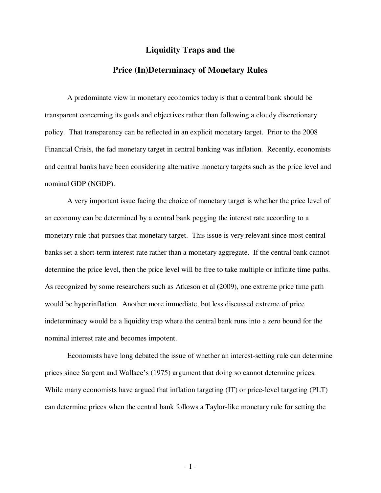### **Liquidity Traps and the**

## **Price (In)Determinacy of Monetary Rules**

A predominate view in monetary economics today is that a central bank should be transparent concerning its goals and objectives rather than following a cloudy discretionary policy. That transparency can be reflected in an explicit monetary target. Prior to the 2008 Financial Crisis, the fad monetary target in central banking was inflation. Recently, economists and central banks have been considering alternative monetary targets such as the price level and nominal GDP (NGDP).

 A very important issue facing the choice of monetary target is whether the price level of an economy can be determined by a central bank pegging the interest rate according to a monetary rule that pursues that monetary target. This issue is very relevant since most central banks set a short-term interest rate rather than a monetary aggregate. If the central bank cannot determine the price level, then the price level will be free to take multiple or infinite time paths. As recognized by some researchers such as Atkeson et al (2009), one extreme price time path would be hyperinflation. Another more immediate, but less discussed extreme of price indeterminacy would be a liquidity trap where the central bank runs into a zero bound for the nominal interest rate and becomes impotent.

 Economists have long debated the issue of whether an interest-setting rule can determine prices since Sargent and Wallace's (1975) argument that doing so cannot determine prices. While many economists have argued that inflation targeting (IT) or price-level targeting (PLT) can determine prices when the central bank follows a Taylor-like monetary rule for setting the

- 1 -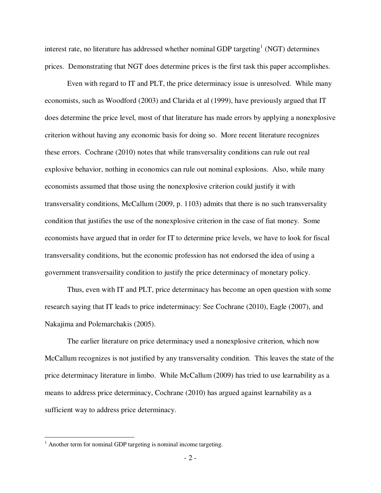interest rate, no literature has addressed whether nominal GDP targeting<sup>1</sup> (NGT) determines prices. Demonstrating that NGT does determine prices is the first task this paper accomplishes.

 Even with regard to IT and PLT, the price determinacy issue is unresolved. While many economists, such as Woodford (2003) and Clarida et al (1999), have previously argued that IT does determine the price level, most of that literature has made errors by applying a nonexplosive criterion without having any economic basis for doing so. More recent literature recognizes these errors. Cochrane (2010) notes that while transversality conditions can rule out real explosive behavior, nothing in economics can rule out nominal explosions. Also, while many economists assumed that those using the nonexplosive criterion could justify it with transversality conditions, McCallum (2009, p. 1103) admits that there is no such transversality condition that justifies the use of the nonexplosive criterion in the case of fiat money. Some economists have argued that in order for IT to determine price levels, we have to look for fiscal transversality conditions, but the economic profession has not endorsed the idea of using a government transversaility condition to justify the price determinacy of monetary policy.

 Thus, even with IT and PLT, price determinacy has become an open question with some research saying that IT leads to price indeterminacy: See Cochrane (2010), Eagle (2007), and Nakajima and Polemarchakis (2005).

 The earlier literature on price determinacy used a nonexplosive criterion, which now McCallum recognizes is not justified by any transversality condition. This leaves the state of the price determinacy literature in limbo. While McCallum (2009) has tried to use learnability as a means to address price determinacy, Cochrane (2010) has argued against learnability as a sufficient way to address price determinacy.

 1 Another term for nominal GDP targeting is nominal income targeting.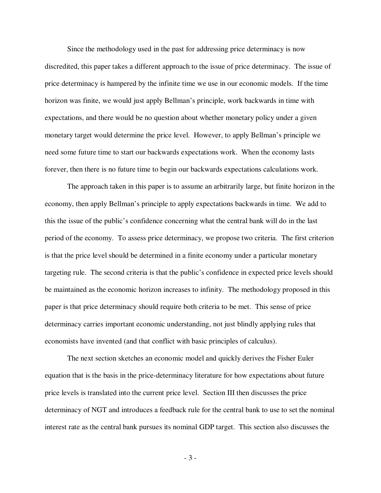Since the methodology used in the past for addressing price determinacy is now discredited, this paper takes a different approach to the issue of price determinacy. The issue of price determinacy is hampered by the infinite time we use in our economic models. If the time horizon was finite, we would just apply Bellman's principle, work backwards in time with expectations, and there would be no question about whether monetary policy under a given monetary target would determine the price level. However, to apply Bellman's principle we need some future time to start our backwards expectations work. When the economy lasts forever, then there is no future time to begin our backwards expectations calculations work.

 The approach taken in this paper is to assume an arbitrarily large, but finite horizon in the economy, then apply Bellman's principle to apply expectations backwards in time. We add to this the issue of the public's confidence concerning what the central bank will do in the last period of the economy. To assess price determinacy, we propose two criteria. The first criterion is that the price level should be determined in a finite economy under a particular monetary targeting rule. The second criteria is that the public's confidence in expected price levels should be maintained as the economic horizon increases to infinity. The methodology proposed in this paper is that price determinacy should require both criteria to be met. This sense of price determinacy carries important economic understanding, not just blindly applying rules that economists have invented (and that conflict with basic principles of calculus).

 The next section sketches an economic model and quickly derives the Fisher Euler equation that is the basis in the price-determinacy literature for how expectations about future price levels is translated into the current price level. Section III then discusses the price determinacy of NGT and introduces a feedback rule for the central bank to use to set the nominal interest rate as the central bank pursues its nominal GDP target. This section also discusses the

- 3 -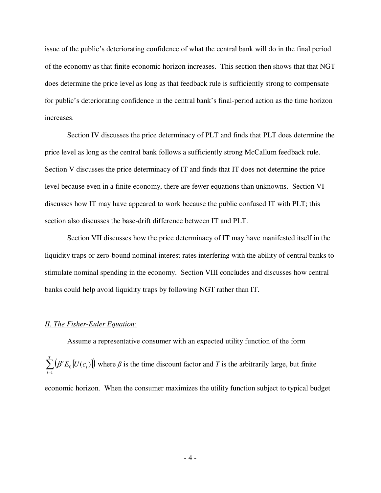issue of the public's deteriorating confidence of what the central bank will do in the final period of the economy as that finite economic horizon increases. This section then shows that that NGT does determine the price level as long as that feedback rule is sufficiently strong to compensate for public's deteriorating confidence in the central bank's final-period action as the time horizon increases.

 Section IV discusses the price determinacy of PLT and finds that PLT does determine the price level as long as the central bank follows a sufficiently strong McCallum feedback rule. Section V discusses the price determinacy of IT and finds that IT does not determine the price level because even in a finite economy, there are fewer equations than unknowns. Section VI discusses how IT may have appeared to work because the public confused IT with PLT; this section also discusses the base-drift difference between IT and PLT.

Section VII discusses how the price determinacy of IT may have manifested itself in the liquidity traps or zero-bound nominal interest rates interfering with the ability of central banks to stimulate nominal spending in the economy. Section VIII concludes and discusses how central banks could help avoid liquidity traps by following NGT rather than IT.

#### *II. The Fisher-Euler Equation:*

 Assume a representative consumer with an expected utility function of the form  $\sum^T \left( \beta^t E_o \left[ U(c_t) \right] \right)$ = *t*  $\beta' E_0[U(c_t)]$  where  $\beta$  is the time discount factor and *T* is the arbitrarily large, but finite 1 economic horizon. When the consumer maximizes the utility function subject to typical budget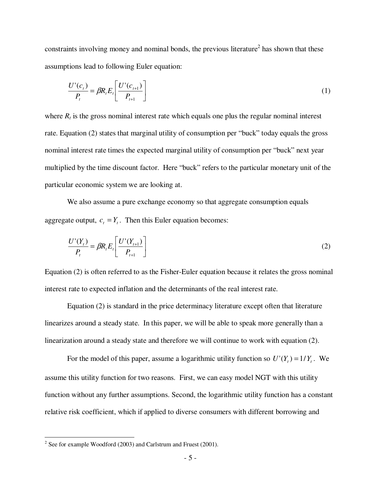constraints involving money and nominal bonds, the previous literature<sup>2</sup> has shown that these assumptions lead to following Euler equation:

$$
\frac{U'(c_t)}{P_t} = \beta R_t E_t \left[ \frac{U'(c_{t+1})}{P_{t+1}} \right]
$$
\n
$$
\tag{1}
$$

where  $R_t$  is the gross nominal interest rate which equals one plus the regular nominal interest rate. Equation (2) states that marginal utility of consumption per "buck" today equals the gross nominal interest rate times the expected marginal utility of consumption per "buck" next year multiplied by the time discount factor. Here "buck" refers to the particular monetary unit of the particular economic system we are looking at.

 We also assume a pure exchange economy so that aggregate consumption equals aggregate output,  $c_t = Y_t$ . Then this Euler equation becomes:

$$
\frac{U'(Y_t)}{P_t} = \beta R_t E_t \left[ \frac{U'(Y_{t+1})}{P_{t+1}} \right]
$$
 (2)

Equation (2) is often referred to as the Fisher-Euler equation because it relates the gross nominal interest rate to expected inflation and the determinants of the real interest rate.

 Equation (2) is standard in the price determinacy literature except often that literature linearizes around a steady state. In this paper, we will be able to speak more generally than a linearization around a steady state and therefore we will continue to work with equation (2).

For the model of this paper, assume a logarithmic utility function so  $U'(Y_t) = 1/Y_t$ . We assume this utility function for two reasons. First, we can easy model NGT with this utility function without any further assumptions. Second, the logarithmic utility function has a constant relative risk coefficient, which if applied to diverse consumers with different borrowing and

<sup>&</sup>lt;sup>2</sup> See for example Woodford (2003) and Carlstrum and Fruest (2001).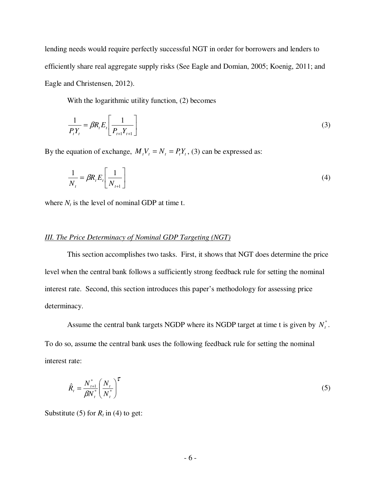lending needs would require perfectly successful NGT in order for borrowers and lenders to efficiently share real aggregate supply risks (See Eagle and Domian, 2005; Koenig, 2011; and Eagle and Christensen, 2012).

With the logarithmic utility function, (2) becomes

$$
\frac{1}{P_t Y_t} = \beta R_t E_t \left[ \frac{1}{P_{t+1} Y_{t+1}} \right]
$$
\n(3)

By the equation of exchange,  $M_t V_t = N_t = P_t Y_t$ , (3) can be expressed as:

$$
\frac{1}{N_t} = \beta R_t E_t \left[ \frac{1}{N_{t+1}} \right]
$$
\n(4)

where  $N_t$  is the level of nominal GDP at time t.

## *III. The Price Determinacy of Nominal GDP Targeting (NGT)*

 This section accomplishes two tasks. First, it shows that NGT does determine the price level when the central bank follows a sufficiently strong feedback rule for setting the nominal interest rate. Second, this section introduces this paper's methodology for assessing price determinacy.

Assume the central bank targets NGDP where its NGDP target at time t is given by  $N_t^*$ . To do so, assume the central bank uses the following feedback rule for setting the nominal interest rate:

$$
\hat{R}_t = \frac{N_{t+1}^*}{\beta N_t^*} \left(\frac{N_t}{N_t^*}\right)^{\tau}
$$
\n
$$
\tag{5}
$$

Substitute (5) for  $R_t$  in (4) to get: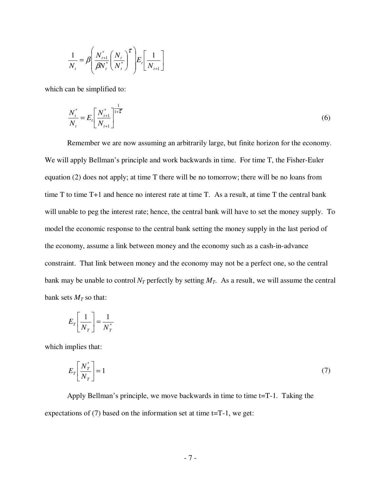$$
\frac{1}{N_{t}} = \beta \left( \frac{N_{t+1}^{*}}{\beta N_{t}^{*}} \left( \frac{N_{t}}{N_{t}^{*}} \right)^{\tau} \right) E_{t} \left[ \frac{1}{N_{t+1}} \right]
$$

which can be simplified to:

$$
\frac{N_t^*}{N_t} = E_t \left[ \frac{N_{t+1}^*}{N_{t+1}} \right]^{1-\tau} \tag{6}
$$

 Remember we are now assuming an arbitrarily large, but finite horizon for the economy. We will apply Bellman's principle and work backwards in time. For time T, the Fisher-Euler equation (2) does not apply; at time T there will be no tomorrow; there will be no loans from time T to time T+1 and hence no interest rate at time T. As a result, at time T the central bank will unable to peg the interest rate; hence, the central bank will have to set the money supply. To model the economic response to the central bank setting the money supply in the last period of the economy, assume a link between money and the economy such as a cash-in-advance constraint. That link between money and the economy may not be a perfect one, so the central bank may be unable to control  $N_T$  perfectly by setting  $M_T$ . As a result, we will assume the central bank sets  $M_T$  so that:

$$
E_T \left[ \frac{1}{N_T} \right] = \frac{1}{N_T^*}
$$

which implies that:

$$
E_T \left[ \frac{N_T^*}{N_T} \right] = 1 \tag{7}
$$

 Apply Bellman's principle, we move backwards in time to time t=T-1. Taking the expectations of (7) based on the information set at time t=T-1, we get: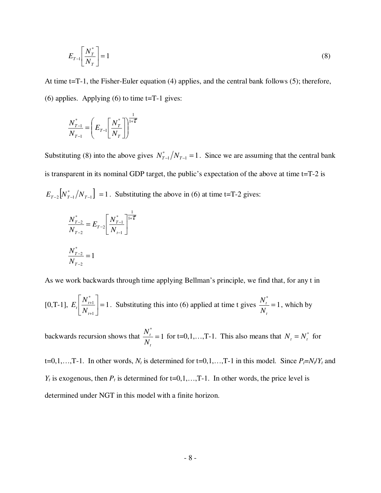$$
E_{T-1} \left[ \frac{N_T^*}{N_T} \right] = 1 \tag{8}
$$

At time t=T-1, the Fisher-Euler equation (4) applies, and the central bank follows (5); therefore, (6) applies. Applying (6) to time  $t=T-1$  gives:

$$
\frac{N_{T-1}^{*}}{N_{T-1}} = \left(E_{T-1} \left[\frac{N_{T}^{*}}{N_{T}}\right]\right)^{\frac{1}{1+\mathcal{T}}}
$$

Substituting (8) into the above gives  $N_{T-1}^*/N_{T-1} = 1$ . Since we are assuming that the central bank is transparent in its nominal GDP target, the public's expectation of the above at time t=T-2 is  $E_{T-2}$   $[N^*_{T-1}/N_{T-1}]$  = 1. Substituting the above in (6) at time t=T-2 gives:

$$
\frac{N_{T-2}^*}{N_{T-2}} = E_{T-2} \left[ \frac{N_{T-1}^*}{N_{T-1}} \right]^{1-\tau}
$$

$$
\frac{N_{T-2}^*}{N_{T-2}} = 1
$$

As we work backwards through time applying Bellman's principle, we find that, for any t in

[0,T-1], 
$$
E_t\left[\frac{N_{t+1}^*}{N_{t+1}}\right] = 1
$$
. Substituting this into (6) applied at time t gives  $\frac{N_t^*}{N_t} = 1$ , which by

backwards recursion shows that  $\frac{1}{11}$  = 1 \* = *t t N*  $\frac{N_t^*}{N}$  = 1 for t=0,1,...,T-1. This also means that  $N_t = N_t^*$  for

 $t=0,1,...,T-1$ . In other words,  $N_t$  is determined for  $t=0,1,...,T-1$  in this model. Since  $P_t=N_t/Y_t$  and  $Y_t$  is exogenous, then  $P_t$  is determined for t=0,1,...,T-1. In other words, the price level is determined under NGT in this model with a finite horizon.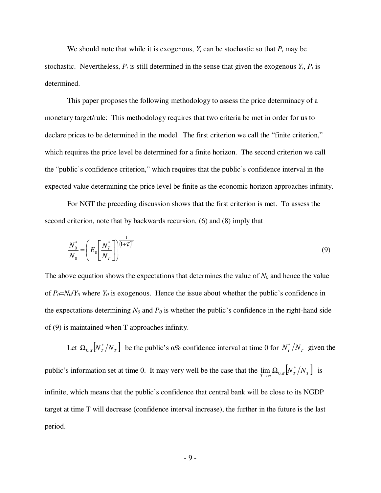We should note that while it is exogenous,  $Y_t$  can be stochastic so that  $P_t$  may be stochastic. Nevertheless,  $P_t$  is still determined in the sense that given the exogenous  $Y_t$ ,  $P_t$  is determined.

 This paper proposes the following methodology to assess the price determinacy of a monetary target/rule: This methodology requires that two criteria be met in order for us to declare prices to be determined in the model. The first criterion we call the "finite criterion," which requires the price level be determined for a finite horizon. The second criterion we call the "public's confidence criterion," which requires that the public's confidence interval in the expected value determining the price level be finite as the economic horizon approaches infinity.

 For NGT the preceding discussion shows that the first criterion is met. To assess the second criterion, note that by backwards recursion, (6) and (8) imply that

$$
\frac{N_0^*}{N_0} = \left(E_0 \left[\frac{N_T^*}{N_T}\right]\right)^{\frac{1}{\left(1+\mathcal{T}\right)^T}}
$$
\n(9)

The above equation shows the expectations that determines the value of  $N<sub>0</sub>$  and hence the value of  $P_0 = N_0/Y_0$  where  $Y_0$  is exogenous. Hence the issue about whether the public's confidence in the expectations determining  $N_0$  and  $P_0$  is whether the public's confidence in the right-hand side of (9) is maintained when T approaches infinity.

Let  $\Omega_{0,\alpha}$   $\left[ N^*_T / N_T \right]$  be the public's  $\alpha$ % confidence interval at time 0 for  $N^*_T / N_T$  given the public's information set at time 0. It may very well be the case that the  $\lim_{T\to\infty} \Omega_{0,\alpha} [N_T^*/N_T]$  $\lim_{T \to \infty} \Omega_{0,\alpha} [N_T^*/N_T]$  is infinite, which means that the public's confidence that central bank will be close to its NGDP target at time T will decrease (confidence interval increase), the further in the future is the last period.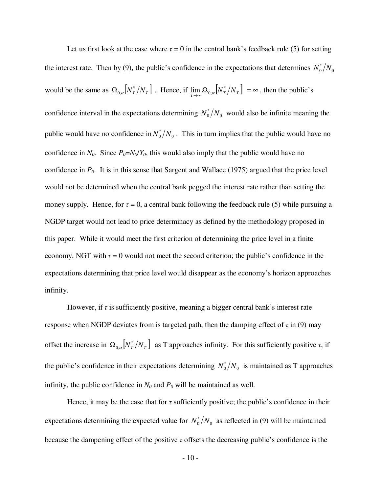Let us first look at the case where  $\tau = 0$  in the central bank's feedback rule (5) for setting the interest rate. Then by (9), the public's confidence in the expectations that determines  $N_0^*/N_0$ would be the same as  $\Omega_{0,\alpha} [ N_T^* / N_T ]$ . Hence, if  $\lim_{T \to \infty} \Omega_{0,\alpha} [ N_T^* / N_T ] = \infty$  $\lim_{T \to \infty} \Omega_{0,\alpha} [N_T^*/N_T] = \infty$ , then the public's confidence interval in the expectations determining  $N_0^*/N_0$  would also be infinite meaning the public would have no confidence in  $N_0^*/N_0$ . This in turn implies that the public would have no confidence in  $N_0$ . Since  $P_0 = N_0/Y_0$ , this would also imply that the public would have no confidence in *P0*. It is in this sense that Sargent and Wallace (1975) argued that the price level would not be determined when the central bank pegged the interest rate rather than setting the money supply. Hence, for  $\tau = 0$ , a central bank following the feedback rule (5) while pursuing a NGDP target would not lead to price determinacy as defined by the methodology proposed in this paper. While it would meet the first criterion of determining the price level in a finite economy, NGT with  $\tau = 0$  would not meet the second criterion; the public's confidence in the expectations determining that price level would disappear as the economy's horizon approaches infinity.

However, if  $\tau$  is sufficiently positive, meaning a bigger central bank's interest rate response when NGDP deviates from is targeted path, then the damping effect of  $\tau$  in (9) may offset the increase in  $\Omega_{0,\alpha} [ N_T^* / N_T ]$  as T approaches infinity. For this sufficiently positive  $\tau$ , if the public's confidence in their expectations determining  $N_0^*/N_0$  is maintained as T approaches infinity, the public confidence in  $N_0$  and  $P_0$  will be maintained as well.

Hence, it may be the case that for  $\tau$  sufficiently positive; the public's confidence in their expectations determining the expected value for  $N_0^*/N_0$  as reflected in (9) will be maintained because the dampening effect of the positive *τ* offsets the decreasing public's confidence is the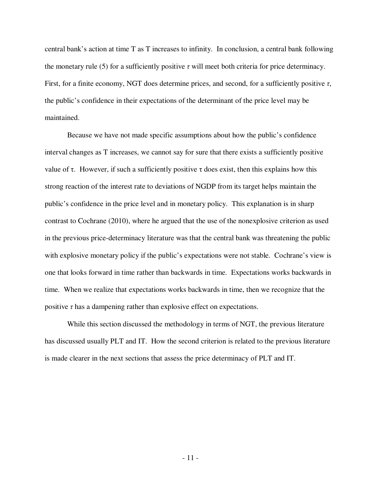central bank's action at time T as T increases to infinity. In conclusion, a central bank following the monetary rule (5) for a sufficiently positive  $\tau$  will meet both criteria for price determinacy. First, for a finite economy, NGT does determine prices, and second, for a sufficiently positive *τ*, the public's confidence in their expectations of the determinant of the price level may be maintained.

 Because we have not made specific assumptions about how the public's confidence interval changes as T increases, we cannot say for sure that there exists a sufficiently positive value of τ. However, if such a sufficiently positive τ does exist, then this explains how this strong reaction of the interest rate to deviations of NGDP from its target helps maintain the public's confidence in the price level and in monetary policy. This explanation is in sharp contrast to Cochrane (2010), where he argued that the use of the nonexplosive criterion as used in the previous price-determinacy literature was that the central bank was threatening the public with explosive monetary policy if the public's expectations were not stable. Cochrane's view is one that looks forward in time rather than backwards in time. Expectations works backwards in time. When we realize that expectations works backwards in time, then we recognize that the positive  $\tau$  has a dampening rather than explosive effect on expectations.

 While this section discussed the methodology in terms of NGT, the previous literature has discussed usually PLT and IT. How the second criterion is related to the previous literature is made clearer in the next sections that assess the price determinacy of PLT and IT.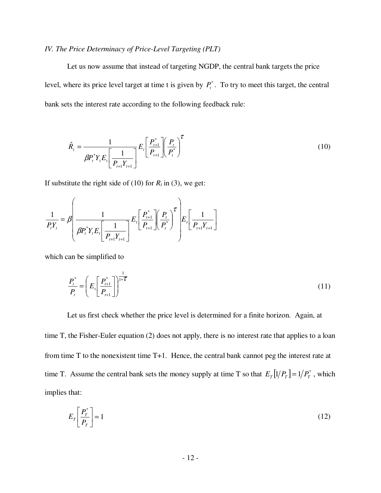## *IV. The Price Determinacy of Price-Level Targeting (PLT)*

 Let us now assume that instead of targeting NGDP, the central bank targets the price level, where its price level target at time t is given by  $P_t^*$ . To try to meet this target, the central bank sets the interest rate according to the following feedback rule:

$$
\hat{R}_{t} = \frac{1}{\beta P_{t}^{*} Y_{t} E_{t} \left[ \frac{1}{P_{t+1} Y_{t+1}} \right]} E_{t} \left[ \frac{P_{t+1}^{*}}{P_{t+1}} \right] \left( \frac{P_{t}}{P_{t}} \right)^{\tau}
$$
(10)

If substitute the right side of (10) for  $R_t$  in (3), we get:

$$
\frac{1}{P_{t}Y_{t}} = \beta \left( \frac{1}{\beta P_{t}^{*}Y_{t}E_{t} \left[ \frac{1}{P_{t+1}Y_{t+1}} \right]} E_{t} \left[ \frac{P_{t+1}^{*}}{P_{t+1}} \right] \left( \frac{P_{t}}{P_{t}} \right)^{\mathcal{T}} \right) E_{t} \left[ \frac{1}{P_{t+1}Y_{t+1}} \right]
$$

which can be simplified to

$$
\frac{P_t^*}{P_t} = \left(E_t \left[\frac{P_{t+1}^*}{P_{t+1}}\right]\right)^{\frac{1}{1+\mathcal{L}}} \tag{11}
$$

 Let us first check whether the price level is determined for a finite horizon. Again, at time T, the Fisher-Euler equation (2) does not apply, there is no interest rate that applies to a loan from time T to the nonexistent time T+1. Hence, the central bank cannot peg the interest rate at time T. Assume the central bank sets the money supply at time T so that  $E_T[1/P_T] = 1/P_T^*$ , which implies that:

$$
E_T \left[ \frac{P_T^*}{P_T} \right] = 1 \tag{12}
$$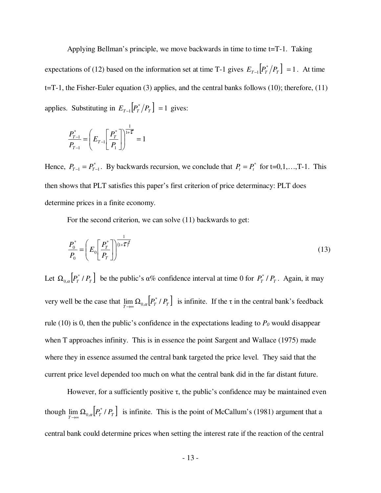Applying Bellman's principle, we move backwards in time to time t=T-1. Taking expectations of (12) based on the information set at time T-1 gives  $E_{T-1} \left[ P_T^* / P_T \right] = 1$ . At time t=T-1, the Fisher-Euler equation (3) applies, and the central banks follows (10); therefore, (11) applies. Substituting in  $E_{T-1} \left[ P_T^* / P_T \right] = 1$  gives:

$$
\frac{P_{T-1}^{*}}{P_{T-1}} = \left( E_{T-1} \left[ \frac{P_{T}^{*}}{P_{1}} \right] \right)^{\frac{1}{1+\mathcal{L}}} = 1
$$

Hence,  $P_{T-1} = P_{T-1}^*$ . By backwards recursion, we conclude that  $P_t = P_t^*$  for t=0,1,...,T-1. This then shows that PLT satisfies this paper's first criterion of price determinacy: PLT does determine prices in a finite economy.

For the second criterion, we can solve (11) backwards to get:

$$
\frac{P_0^*}{P_0} = \left(E_0 \left[\frac{P_T^*}{P_T}\right]\right)^{\frac{1}{\left(1+\mathcal{T}\right)^f}}
$$
\n(13)

Let  $\Omega_{0,\alpha}$   $\left[ P^*_{T}/P^T_{T} \right]$  be the public's  $\alpha$ % confidence interval at time 0 for  $P^*_{T}/P^T_{T}$ . Again, it may very well be the case that  $\lim_{T\to\infty} \Omega_{0,\alpha} \Big[ P_T^* / P_T \Big]$  is infinite. If the  $\tau$  in the central bank's feedback rule (10) is 0, then the public's confidence in the expectations leading to  $P_0$  would disappear when T approaches infinity. This is in essence the point Sargent and Wallace (1975) made where they in essence assumed the central bank targeted the price level. They said that the current price level depended too much on what the central bank did in the far distant future.

However, for a sufficiently positive  $\tau$ , the public's confidence may be maintained even though  $\lim_{T\to\infty} \Omega_{0,\alpha} [P_T^* / P_T]$  is infinite. This is the point of McCallum's (1981) argument that a central bank could determine prices when setting the interest rate if the reaction of the central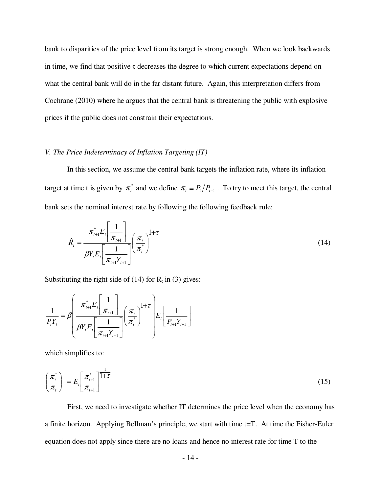bank to disparities of the price level from its target is strong enough. When we look backwards in time, we find that positive  $\tau$  decreases the degree to which current expectations depend on what the central bank will do in the far distant future. Again, this interpretation differs from Cochrane (2010) where he argues that the central bank is threatening the public with explosive prices if the public does not constrain their expectations.

### *V. The Price Indeterminacy of Inflation Targeting (IT)*

 In this section, we assume the central bank targets the inflation rate, where its inflation target at time t is given by  $\pi_t^*$  and we define  $\pi_t \equiv P_t/P_{t-1}$ . To try to meet this target, the central bank sets the nominal interest rate by following the following feedback rule:

$$
\hat{R}_{t} = \frac{\pi_{t+1}^{*} E_{t} \left[ \frac{1}{\pi_{t+1}} \right]}{\beta Y_{t} E_{t} \left[ \frac{1}{\pi_{t+1} Y_{t+1}} \right]} \left( \frac{\pi_{t}}{\pi_{t}^{*}} \right)^{1+\tau}
$$
\n(14)

Substituting the right side of (14) for  $R_t$  in (3) gives:

$$
\frac{1}{P_{t}Y_{t}} = \beta \left( \frac{\pi_{t+1}^{*} E_{t} \left[ \frac{1}{\pi_{t+1}} \right]}{\beta Y_{t} E_{t} \left[ \frac{1}{\pi_{t+1} Y_{t+1}} \right]} \left( \frac{\pi_{t}}{\pi_{t}^{*}} \right)^{1+\tau} \right) E_{t} \left[ \frac{1}{P_{t+1} Y_{t+1}} \right]
$$

which simplifies to:

$$
\left(\frac{\pi_i^*}{\pi_i}\right) = E_i \left[\frac{\pi_{i+1}^*}{\pi_{i+1}}\right]^{\frac{1}{1+\tau}}
$$
\n(15)

 First, we need to investigate whether IT determines the price level when the economy has a finite horizon. Applying Bellman's principle, we start with time t=T. At time the Fisher-Euler equation does not apply since there are no loans and hence no interest rate for time T to the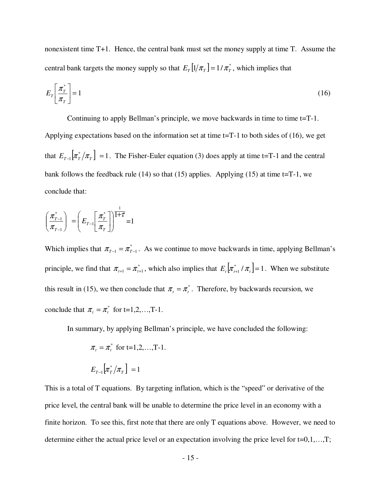nonexistent time T+1. Hence, the central bank must set the money supply at time T. Assume the central bank targets the money supply so that  $E_T[1/\pi_T] = 1/\pi_T^*$ , which implies that

$$
E_T \left[ \frac{\pi_T^*}{\pi_T} \right] = 1 \tag{16}
$$

 Continuing to apply Bellman's principle, we move backwards in time to time t=T-1. Applying expectations based on the information set at time t=T-1 to both sides of (16), we get that  $E_{T-1} [\pi_T^* / \pi_T] = 1$ . The Fisher-Euler equation (3) does apply at time t=T-1 and the central bank follows the feedback rule (14) so that (15) applies. Applying (15) at time  $t=T-1$ , we conclude that:

$$
\left(\frac{\pi_{T-1}^*}{\pi_{T-1}}\right) = \left(E_{T-1}\left[\frac{\pi_T^*}{\pi_T}\right]\right)^{\frac{1}{1+\tau}} = 1
$$

Which implies that  $\pi_{T-1} = \pi_{T-1}^*$ . As we continue to move backwards in time, applying Bellman's principle, we find that  $\pi_{t+1} = \pi_{t+1}^*$ , which also implies that  $E_t[\pi_{t+1}^* / \pi_t] = 1$ . When we substitute this result in (15), we then conclude that  $\pi_t = \pi_t^*$ . Therefore, by backwards recursion, we conclude that  $\pi_t = \pi_t^*$  for t=1,2,...,T-1.

In summary, by applying Bellman's principle, we have concluded the following:

$$
\pi_t = \pi_t^*
$$
 for t=1,2,...,T-1.  

$$
E_{T-1}[\pi_T^*/\pi_T] = 1
$$

This is a total of T equations. By targeting inflation, which is the "speed" or derivative of the price level, the central bank will be unable to determine the price level in an economy with a finite horizon. To see this, first note that there are only T equations above. However, we need to determine either the actual price level or an expectation involving the price level for  $t=0,1,...,T$ ;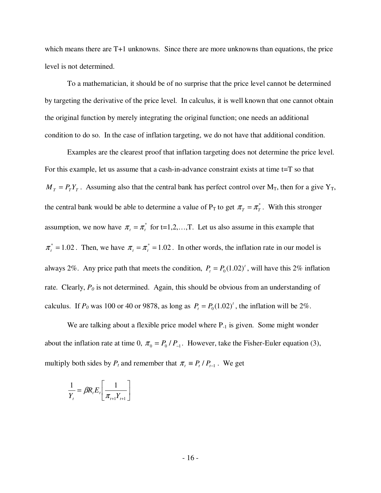which means there are T+1 unknowns. Since there are more unknowns than equations, the price level is not determined.

 To a mathematician, it should be of no surprise that the price level cannot be determined by targeting the derivative of the price level. In calculus, it is well known that one cannot obtain the original function by merely integrating the original function; one needs an additional condition to do so. In the case of inflation targeting, we do not have that additional condition.

 Examples are the clearest proof that inflation targeting does not determine the price level. For this example, let us assume that a cash-in-advance constraint exists at time t=T so that  $M_T = P_T Y_T$ . Assuming also that the central bank has perfect control over  $M_T$ , then for a give  $Y_T$ , the central bank would be able to determine a value of  $P_T$  to get  $\pi_T = \pi_T^*$ . With this stronger assumption, we now have  $\pi_t = \pi_t^*$  for t=1,2,...,T. Let us also assume in this example that  $\pi_t^* = 1.02$ . Then, we have  $\pi_t = \pi_t^* = 1.02$ . In other words, the inflation rate in our model is always 2%. Any price path that meets the condition,  $P_t = P_0(1.02)^t$ , will have this 2% inflation rate. Clearly,  $P_0$  is not determined. Again, this should be obvious from an understanding of calculus. If  $P_0$  was 100 or 40 or 9878, as long as  $P_t = P_0(1.02)^t$ , the inflation will be 2%.

We are talking about a flexible price model where  $P_{-1}$  is given. Some might wonder about the inflation rate at time 0,  $\pi_0 = P_0 / P_{-1}$ . However, take the Fisher-Euler equation (3), multiply both sides by  $P_t$  and remember that  $\pi_t = P_t / P_{t-1}$ . We get

$$
\frac{1}{Y_t} = \beta R_t E_t \left[ \frac{1}{\pi_{t+1} Y_{t+1}} \right]
$$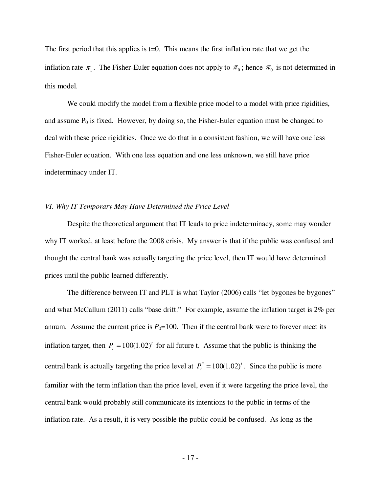The first period that this applies is  $t=0$ . This means the first inflation rate that we get the inflation rate  $\pi_1$ . The Fisher-Euler equation does not apply to  $\pi_0$ ; hence  $\pi_0$  is not determined in this model.

 We could modify the model from a flexible price model to a model with price rigidities, and assume  $P_0$  is fixed. However, by doing so, the Fisher-Euler equation must be changed to deal with these price rigidities. Once we do that in a consistent fashion, we will have one less Fisher-Euler equation. With one less equation and one less unknown, we still have price indeterminacy under IT.

#### *VI. Why IT Temporary May Have Determined the Price Level*

 Despite the theoretical argument that IT leads to price indeterminacy, some may wonder why IT worked, at least before the 2008 crisis. My answer is that if the public was confused and thought the central bank was actually targeting the price level, then IT would have determined prices until the public learned differently.

 The difference between IT and PLT is what Taylor (2006) calls "let bygones be bygones" and what McCallum (2011) calls "base drift." For example, assume the inflation target is 2% per annum. Assume the current price is  $P_0=100$ . Then if the central bank were to forever meet its inflation target, then  $P_t = 100(1.02)^t$  for all future t. Assume that the public is thinking the central bank is actually targeting the price level at  $P_t^* = 100(1.02)^t$ . Since the public is more familiar with the term inflation than the price level, even if it were targeting the price level, the central bank would probably still communicate its intentions to the public in terms of the inflation rate. As a result, it is very possible the public could be confused. As long as the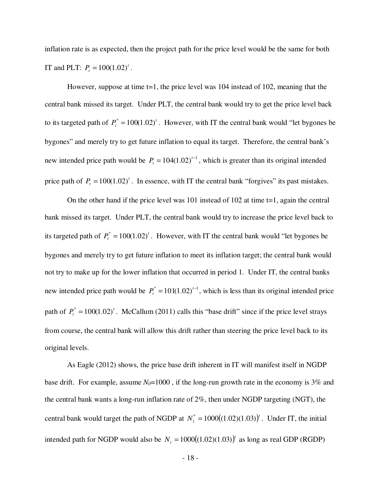inflation rate is as expected, then the project path for the price level would be the same for both IT and PLT:  $P_t = 100(1.02)^t$ .

However, suppose at time  $t=1$ , the price level was 104 instead of 102, meaning that the central bank missed its target. Under PLT, the central bank would try to get the price level back to its targeted path of  $P_t^* = 100(1.02)^t$ . However, with IT the central bank would "let bygones be bygones" and merely try to get future inflation to equal its target. Therefore, the central bank's new intended price path would be  $P_t = 104(1.02)^{t-1}$ , which is greater than its original intended price path of  $P_t = 100(1.02)^t$ . In essence, with IT the central bank "forgives" its past mistakes.

On the other hand if the price level was 101 instead of 102 at time  $t=1$ , again the central bank missed its target. Under PLT, the central bank would try to increase the price level back to its targeted path of  $P_t^* = 100(1.02)^t$ . However, with IT the central bank would "let bygones be bygones and merely try to get future inflation to meet its inflation target; the central bank would not try to make up for the lower inflation that occurred in period 1. Under IT, the central banks new intended price path would be  $P_t^* = 101(1.02)^{t-1}$ , which is less than its original intended price path of  $P_t^* = 100(1.02)^t$ . McCallum (2011) calls this "base drift" since if the price level strays from course, the central bank will allow this drift rather than steering the price level back to its original levels.

 As Eagle (2012) shows, the price base drift inherent in IT will manifest itself in NGDP base drift. For example, assume  $N_0$ =1000, if the long-run growth rate in the economy is 3% and the central bank wants a long-run inflation rate of 2%, then under NGDP targeting (NGT), the central bank would target the path of NGDP at  $N_t^* = 1000((1.02)(1.03))^t$ . Under IT, the initial intended path for NGDP would also be  $N_t = 1000((1.02)(1.03))$ <sup>t</sup> as long as real GDP (RGDP)

- 18 -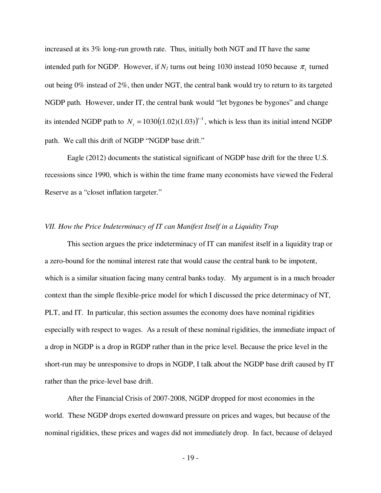increased at its 3% long-run growth rate. Thus, initially both NGT and IT have the same intended path for NGDP. However, if  $N_I$  turns out being 1030 instead 1050 because  $\pi_I$  turned out being 0% instead of 2%, then under NGT, the central bank would try to return to its targeted NGDP path. However, under IT, the central bank would "let bygones be bygones" and change its intended NGDP path to  $N_t = 1030((1.02)(1.03))^{t-1}$ , which is less than its initial intend NGDP path. We call this drift of NGDP "NGDP base drift."

 Eagle (2012) documents the statistical significant of NGDP base drift for the three U.S. recessions since 1990, which is within the time frame many economists have viewed the Federal Reserve as a "closet inflation targeter."

#### *VII. How the Price Indeterminacy of IT can Manifest Itself in a Liquidity Trap*

 This section argues the price indeterminacy of IT can manifest itself in a liquidity trap or a zero-bound for the nominal interest rate that would cause the central bank to be impotent, which is a similar situation facing many central banks today. My argument is in a much broader context than the simple flexible-price model for which I discussed the price determinacy of NT, PLT, and IT. In particular, this section assumes the economy does have nominal rigidities especially with respect to wages. As a result of these nominal rigidities, the immediate impact of a drop in NGDP is a drop in RGDP rather than in the price level. Because the price level in the short-run may be unresponsive to drops in NGDP, I talk about the NGDP base drift caused by IT rather than the price-level base drift.

 After the Financial Crisis of 2007-2008, NGDP dropped for most economies in the world. These NGDP drops exerted downward pressure on prices and wages, but because of the nominal rigidities, these prices and wages did not immediately drop. In fact, because of delayed

- 19 -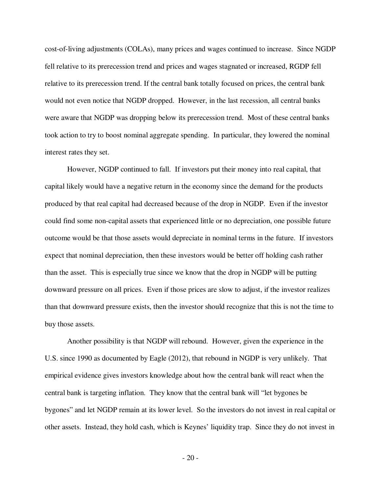cost-of-living adjustments (COLAs), many prices and wages continued to increase. Since NGDP fell relative to its prerecession trend and prices and wages stagnated or increased, RGDP fell relative to its prerecession trend. If the central bank totally focused on prices, the central bank would not even notice that NGDP dropped. However, in the last recession, all central banks were aware that NGDP was dropping below its prerecession trend. Most of these central banks took action to try to boost nominal aggregate spending. In particular, they lowered the nominal interest rates they set.

 However, NGDP continued to fall. If investors put their money into real capital, that capital likely would have a negative return in the economy since the demand for the products produced by that real capital had decreased because of the drop in NGDP. Even if the investor could find some non-capital assets that experienced little or no depreciation, one possible future outcome would be that those assets would depreciate in nominal terms in the future. If investors expect that nominal depreciation, then these investors would be better off holding cash rather than the asset. This is especially true since we know that the drop in NGDP will be putting downward pressure on all prices. Even if those prices are slow to adjust, if the investor realizes than that downward pressure exists, then the investor should recognize that this is not the time to buy those assets.

 Another possibility is that NGDP will rebound. However, given the experience in the U.S. since 1990 as documented by Eagle (2012), that rebound in NGDP is very unlikely. That empirical evidence gives investors knowledge about how the central bank will react when the central bank is targeting inflation. They know that the central bank will "let bygones be bygones" and let NGDP remain at its lower level. So the investors do not invest in real capital or other assets. Instead, they hold cash, which is Keynes' liquidity trap. Since they do not invest in

- 20 -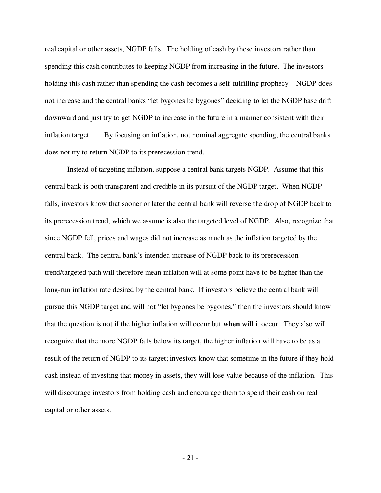real capital or other assets, NGDP falls. The holding of cash by these investors rather than spending this cash contributes to keeping NGDP from increasing in the future. The investors holding this cash rather than spending the cash becomes a self-fulfilling prophecy – NGDP does not increase and the central banks "let bygones be bygones" deciding to let the NGDP base drift downward and just try to get NGDP to increase in the future in a manner consistent with their inflation target. By focusing on inflation, not nominal aggregate spending, the central banks does not try to return NGDP to its prerecession trend.

 Instead of targeting inflation, suppose a central bank targets NGDP. Assume that this central bank is both transparent and credible in its pursuit of the NGDP target. When NGDP falls, investors know that sooner or later the central bank will reverse the drop of NGDP back to its prerecession trend, which we assume is also the targeted level of NGDP. Also, recognize that since NGDP fell, prices and wages did not increase as much as the inflation targeted by the central bank. The central bank's intended increase of NGDP back to its prerecession trend/targeted path will therefore mean inflation will at some point have to be higher than the long-run inflation rate desired by the central bank. If investors believe the central bank will pursue this NGDP target and will not "let bygones be bygones," then the investors should know that the question is not **if** the higher inflation will occur but **when** will it occur. They also will recognize that the more NGDP falls below its target, the higher inflation will have to be as a result of the return of NGDP to its target; investors know that sometime in the future if they hold cash instead of investing that money in assets, they will lose value because of the inflation. This will discourage investors from holding cash and encourage them to spend their cash on real capital or other assets.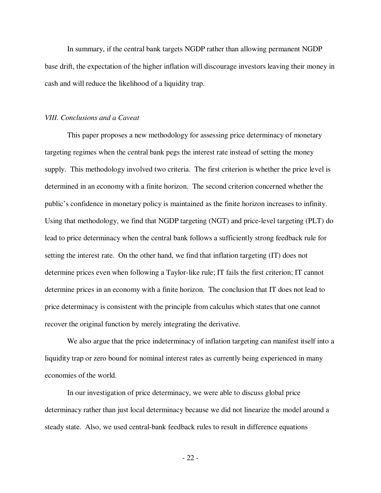In summary, if the central bank targets NGDP rather than allowing permanent NGDP base drift, the expectation of the higher inflation will discourage investors leaving their money in cash and will reduce the likelihood of a liquidity trap.

#### *VIII. Conclusions and a Caveat*

 This paper proposes a new methodology for assessing price determinacy of monetary targeting regimes when the central bank pegs the interest rate instead of setting the money supply. This methodology involved two criteria. The first criterion is whether the price level is determined in an economy with a finite horizon. The second criterion concerned whether the public's confidence in monetary policy is maintained as the finite horizon increases to infinity. Using that methodology, we find that NGDP targeting (NGT) and price-level targeting (PLT) do lead to price determinacy when the central bank follows a sufficiently strong feedback rule for setting the interest rate. On the other hand, we find that inflation targeting (IT) does not determine prices even when following a Taylor-like rule; IT fails the first criterion; IT cannot determine prices in an economy with a finite horizon. The conclusion that IT does not lead to price determinacy is consistent with the principle from calculus which states that one cannot recover the original function by merely integrating the derivative.

 We also argue that the price indeterminacy of inflation targeting can manifest itself into a liquidity trap or zero bound for nominal interest rates as currently being experienced in many economies of the world.

 In our investigation of price determinacy, we were able to discuss global price determinacy rather than just local determinacy because we did not linearize the model around a steady state. Also, we used central-bank feedback rules to result in difference equations

- 22 -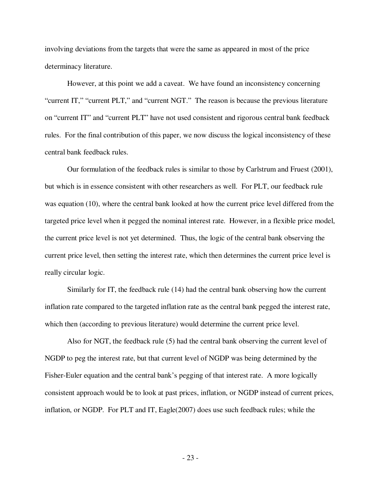involving deviations from the targets that were the same as appeared in most of the price determinacy literature.

 However, at this point we add a caveat. We have found an inconsistency concerning "current IT," "current PLT," and "current NGT." The reason is because the previous literature on "current IT" and "current PLT" have not used consistent and rigorous central bank feedback rules. For the final contribution of this paper, we now discuss the logical inconsistency of these central bank feedback rules.

 Our formulation of the feedback rules is similar to those by Carlstrum and Fruest (2001), but which is in essence consistent with other researchers as well. For PLT, our feedback rule was equation (10), where the central bank looked at how the current price level differed from the targeted price level when it pegged the nominal interest rate. However, in a flexible price model, the current price level is not yet determined. Thus, the logic of the central bank observing the current price level, then setting the interest rate, which then determines the current price level is really circular logic.

 Similarly for IT, the feedback rule (14) had the central bank observing how the current inflation rate compared to the targeted inflation rate as the central bank pegged the interest rate, which then (according to previous literature) would determine the current price level.

 Also for NGT, the feedback rule (5) had the central bank observing the current level of NGDP to peg the interest rate, but that current level of NGDP was being determined by the Fisher-Euler equation and the central bank's pegging of that interest rate. A more logically consistent approach would be to look at past prices, inflation, or NGDP instead of current prices, inflation, or NGDP. For PLT and IT, Eagle $(2007)$  does use such feedback rules; while the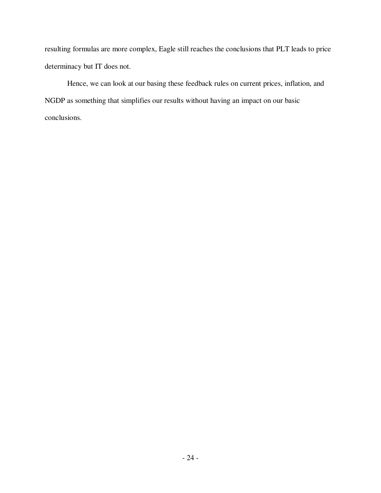resulting formulas are more complex, Eagle still reaches the conclusions that PLT leads to price determinacy but IT does not.

 Hence, we can look at our basing these feedback rules on current prices, inflation, and NGDP as something that simplifies our results without having an impact on our basic conclusions.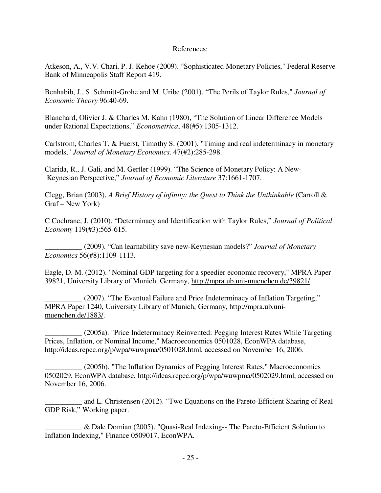#### References:

Atkeson, A., V.V. Chari, P. J. Kehoe (2009). "Sophisticated Monetary Policies," Federal Reserve Bank of Minneapolis Staff Report 419.

Benhabib, J., S. Schmitt-Grohe and M. Uribe (2001). "The Perils of Taylor Rules," *Journal of Economic Theory* 96:40-69.

Blanchard, Olivier J. & Charles M. Kahn (1980), "The Solution of Linear Difference Models under Rational Expectations," *Econometrica*, 48(#5):1305-1312.

Carlstrom, Charles T. & Fuerst, Timothy S. (2001). "Timing and real indeterminacy in monetary models," *Journal of Monetary Economics*. 47(#2):285-298.

Clarida, R., J. Gali, and M. Gertler (1999). "The Science of Monetary Policy: A New- Keynesian Perspective," *Journal of Economic Literature* 37:1661-1707.

Clegg, Brian (2003), *A Brief History of infinity: the Quest to Think the Unthinkable* (Carroll & Graf – New York)

C Cochrane, J. (2010). "Determinacy and Identification with Taylor Rules," *Journal of Political Economy* 119(#3):565-615.

\_\_\_\_\_\_\_\_\_\_ (2009). "Can learnability save new-Keynesian models?" *Journal of Monetary Economics* 56(#8):1109-1113.

Eagle, D. M. (2012). "Nominal GDP targeting for a speedier economic recovery," MPRA Paper 39821, University Library of Munich, Germany, http://mpra.ub.uni-muenchen.de/39821/

(2007). "The Eventual Failure and Price Indeterminacy of Inflation Targeting," MPRA Paper 1240, University Library of Munich, Germany, http://mpra.ub.unimuenchen.de/1883/.

\_\_\_\_\_\_\_\_\_\_ (2005a). "Price Indeterminacy Reinvented: Pegging Interest Rates While Targeting Prices, Inflation, or Nominal Income," Macroeconomics 0501028, EconWPA database, http://ideas.repec.org/p/wpa/wuwpma/0501028.html, accessed on November 16, 2006.

\_\_\_\_\_\_\_\_\_\_ (2005b). "The Inflation Dynamics of Pegging Interest Rates," Macroeconomics 0502029, EconWPA database, http://ideas.repec.org/p/wpa/wuwpma/0502029.html, accessed on November 16, 2006.

\_\_\_\_\_\_\_\_\_\_ and L. Christensen (2012). "Two Equations on the Pareto-Efficient Sharing of Real GDP Risk," Working paper.

\_\_\_\_\_\_\_\_\_\_ & Dale Domian (2005). "Quasi-Real Indexing-- The Pareto-Efficient Solution to Inflation Indexing," Finance 0509017, EconWPA.